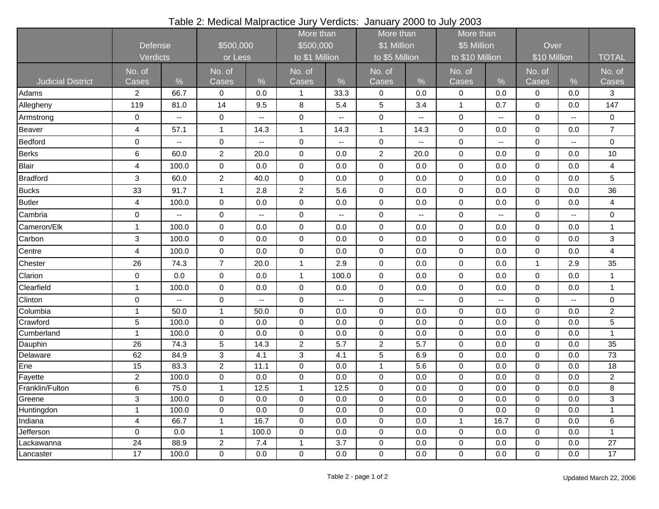| Table 2: Medical Malpractice Jury Verdicts: January 2000 to July 2003 |  |  |  |
|-----------------------------------------------------------------------|--|--|--|
|-----------------------------------------------------------------------|--|--|--|

|                          |                            |                          |                      |                          | More than                   |       | More than                     |                          | More than                      |                          |                      |                          |                         |
|--------------------------|----------------------------|--------------------------|----------------------|--------------------------|-----------------------------|-------|-------------------------------|--------------------------|--------------------------------|--------------------------|----------------------|--------------------------|-------------------------|
|                          | <b>Defense</b><br>Verdicts |                          | \$500,000<br>or Less |                          | \$500,000<br>to \$1 Million |       | \$1 Million<br>to \$5 Million |                          | \$5 Million<br>to \$10 Million |                          | Over<br>\$10 Million |                          |                         |
|                          |                            |                          |                      |                          |                             |       |                               |                          |                                |                          |                      |                          | <b>TOTAL</b>            |
|                          | No. of                     |                          | No. of               |                          | No. of                      |       | No. of                        |                          | No. of                         |                          | No. of               |                          | No. of                  |
| <b>Judicial District</b> | Cases                      | $\%$                     | Cases                | $\frac{0}{0}$            | Cases                       | $\%$  | Cases                         | $\%$                     | Cases                          | $\frac{9}{6}$            | Cases                | $\%$                     | Cases                   |
| Adams                    | $\overline{\mathbf{c}}$    | 66.7                     | $\mathbf 0$          | 0.0                      | $\overline{1}$              | 33.3  | $\pmb{0}$                     | 0.0                      | $\pmb{0}$                      | 0.0                      | 0                    | 0.0                      | 3                       |
| Allegheny                | 119                        | 81.0                     | 14                   | 9.5                      | 8                           | 5.4   | 5                             | 3.4                      | $\mathbf{1}$                   | 0.7                      | $\mathbf 0$          | 0.0                      | 147                     |
| Armstrong                | $\pmb{0}$                  | Ξ.                       | $\mathbf 0$          | $\overline{\phantom{a}}$ | $\pmb{0}$                   | н.    | $\pmb{0}$                     |                          | $\mathbf 0$                    | $\overline{\phantom{a}}$ | 0                    | $\mathbf{u}$             | 0                       |
| Beaver                   | $\overline{4}$             | 57.1                     | $\mathbf{1}$         | 14.3                     | $\mathbf{1}$                | 14.3  | $\mathbf{1}$                  | 14.3                     | $\mathbf 0$                    | 0.0                      | $\mathbf 0$          | 0.0                      | $\overline{7}$          |
| <b>Bedford</b>           | 0                          | $\overline{\phantom{a}}$ | $\pmb{0}$            | $\overline{\phantom{a}}$ | 0                           | Ξ.    | 0                             |                          | $\boldsymbol{0}$               | $\overline{\phantom{a}}$ | 0                    | $\overline{\phantom{a}}$ | 0                       |
| <b>Berks</b>             | 6                          | 60.0                     | $\overline{c}$       | 20.0                     | $\pmb{0}$                   | 0.0   | $\overline{2}$                | 20.0                     | $\mathbf 0$                    | 0.0                      | $\mathbf 0$          | 0.0                      | 10                      |
| <b>Blair</b>             | $\overline{4}$             | 100.0                    | $\pmb{0}$            | 0.0                      | $\pmb{0}$                   | 0.0   | $\mathsf 0$                   | 0.0                      | $\pmb{0}$                      | 0.0                      | $\mathbf 0$          | 0.0                      | 4                       |
| <b>Bradford</b>          | $\mathbf{3}$               | 60.0                     | $\boldsymbol{2}$     | 40.0                     | $\pmb{0}$                   | 0.0   | $\pmb{0}$                     | 0.0                      | $\boldsymbol{0}$               | 0.0                      | $\boldsymbol{0}$     | 0.0                      | 5                       |
| <b>Bucks</b>             | 33                         | 91.7                     | 1                    | 2.8                      | $\overline{c}$              | 5.6   | 0                             | $0.0\,$                  | $\pmb{0}$                      | 0.0                      | $\mathbf 0$          | 0.0                      | 36                      |
| <b>Butler</b>            | $\overline{4}$             | 100.0                    | $\pmb{0}$            | 0.0                      | $\pmb{0}$                   | 0.0   | $\pmb{0}$                     | 0.0                      | $\boldsymbol{0}$               | 0.0                      | 0                    | 0.0                      | 4                       |
| Cambria                  | $\pmb{0}$                  | --                       | $\mathbf 0$          | $\overline{\phantom{a}}$ | $\mathsf{O}\xspace$         | Ξ.    | $\mathbf 0$                   | $\overline{\phantom{a}}$ | $\mathbf 0$                    | $\overline{\phantom{a}}$ | 0                    | $\overline{\phantom{a}}$ | $\overline{0}$          |
| Cameron/Elk              | $\mathbf{1}$               | 100.0                    | $\boldsymbol{0}$     | 0.0                      | $\pmb{0}$                   | 0.0   | $\pmb{0}$                     | 0.0                      | $\pmb{0}$                      | 0.0                      | 0                    | 0.0                      | 1                       |
| Carbon                   | 3                          | 100.0                    | $\mathbf 0$          | 0.0                      | $\pmb{0}$                   | 0.0   | $\pmb{0}$                     | 0.0                      | $\mathbf 0$                    | 0.0                      | 0                    | 0.0                      | 3                       |
| Centre                   | $\overline{\mathbf{4}}$    | 100.0                    | $\mathbf 0$          | 0.0                      | $\pmb{0}$                   | 0.0   | $\pmb{0}$                     | 0.0                      | $\mathbf 0$                    | 0.0                      | $\pmb{0}$            | 0.0                      | $\overline{\mathbf{4}}$ |
| Chester                  | 26                         | 74.3                     | $\overline{7}$       | 20.0                     | $\mathbf{1}$                | 2.9   | $\pmb{0}$                     | 0.0                      | $\boldsymbol{0}$               | 0.0                      | $\mathbf{1}$         | 2.9                      | 35                      |
| Clarion                  | $\mathbf 0$                | 0.0                      | $\pmb{0}$            | 0.0                      | $\mathbf{1}$                | 100.0 | $\mathbf 0$                   | $0.0\,$                  | $\pmb{0}$                      | 0.0                      | $\mathbf 0$          | 0.0                      | $\mathbf{1}$            |
| Clearfield               | $\mathbf{1}$               | 100.0                    | $\pmb{0}$            | 0.0                      | $\mathsf 0$                 | 0.0   | $\pmb{0}$                     | 0.0                      | $\boldsymbol{0}$               | 0.0                      | $\mathbf 0$          | 0.0                      | $\mathbf{1}$            |
| Clinton                  | $\mathsf 0$                |                          | $\pmb{0}$            | ۰.                       | $\pmb{0}$                   | --    | $\pmb{0}$                     |                          | $\boldsymbol{0}$               | ۰.                       | $\mathbf 0$          | $\overline{\phantom{a}}$ | $\mathbf 0$             |
| Columbia                 | $\mathbf{1}$               | 50.0                     | $\mathbf{1}$         | 50.0                     | $\pmb{0}$                   | 0.0   | 0                             | 0.0                      | $\pmb{0}$                      | 0.0                      | $\mathbf 0$          | 0.0                      | $\boldsymbol{2}$        |
| Crawford                 | $\mathbf 5$                | 100.0                    | $\pmb{0}$            | 0.0                      | $\mathsf{O}\xspace$         | 0.0   | $\pmb{0}$                     | 0.0                      | $\mathbf 0$                    | 0.0                      | $\mathsf{O}\xspace$  | 0.0                      | 5                       |
| Cumberland               | $\mathbf{1}$               | 100.0                    | $\boldsymbol{0}$     | 0.0                      | $\pmb{0}$                   | 0.0   | $\pmb{0}$                     | 0.0                      | $\mathbf 0$                    | 0.0                      | $\mathbf 0$          | 0.0                      | $\mathbf{1}$            |
| Dauphin                  | 26                         | 74.3                     | 5                    | 14.3                     | $\overline{2}$              | 5.7   | $\overline{2}$                | 5.7                      | $\mathbf 0$                    | 0.0                      | $\mathbf 0$          | 0.0                      | 35                      |
| Delaware                 | 62                         | 84.9                     | 3                    | 4.1                      | $\mathbf{3}$                | 4.1   | 5                             | 6.9                      | $\mathbf 0$                    | 0.0                      | $\mathbf 0$          | 0.0                      | $\overline{73}$         |
| Erie                     | 15                         | 83.3                     | $\overline{c}$       | 11.1                     | $\pmb{0}$                   | 0.0   | $\mathbf{1}$                  | 5.6                      | $\mathbf 0$                    | 0.0                      | $\mathbf 0$          | 0.0                      | 18                      |
| Fayette                  | $\overline{2}$             | 100.0                    | $\mathbf 0$          | 0.0                      | $\pmb{0}$                   | 0.0   | $\pmb{0}$                     | 0.0                      | $\mathbf 0$                    | 0.0                      | $\mathbf 0$          | 0.0                      | $\overline{2}$          |
| Franklin/Fulton          | 6                          | 75.0                     | $\mathbf{1}$         | 12.5                     | $\mathbf{1}$                | 12.5  | $\pmb{0}$                     | 0.0                      | $\boldsymbol{0}$               | 0.0                      | $\mathbf 0$          | 0.0                      | 8                       |
| Greene                   | 3                          | 100.0                    | $\pmb{0}$            | 0.0                      | $\mathbf 0$                 | 0.0   | 0                             | $0.0\,$                  | $\boldsymbol{0}$               | 0.0                      | 0                    | 0.0                      | 3                       |
| Huntingdon               | $\mathbf{1}$               | 100.0                    | $\pmb{0}$            | 0.0                      | $\mathbf 0$                 | 0.0   | 0                             | 0.0                      | $\mathbf 0$                    | 0.0                      | $\mathbf 0$          | 0.0                      | 1                       |
| Indiana                  | $\overline{4}$             | 66.7                     | $\mathbf{1}$         | 16.7                     | $\mathsf{O}\xspace$         | 0.0   | $\mathbf 0$                   | 0.0                      | $\mathbf{1}$                   | 16.7                     | $\mathbf 0$          | 0.0                      | $\,6$                   |
| Jefferson                | $\mathsf{O}\xspace$        | 0.0                      | 1                    | 100.0                    | $\pmb{0}$                   | 0.0   | $\pmb{0}$                     | $0.0\,$                  | $\boldsymbol{0}$               | $0.0\,$                  | $\mathbf 0$          | 0.0                      | 1                       |
| Lackawanna               | $\overline{24}$            | 88.9                     | $\overline{c}$       | 7.4                      | $\mathbf{1}$                | 3.7   | $\mathbf 0$                   | 0.0                      | $\mathbf 0$                    | 0.0                      | $\mathbf 0$          | 0.0                      | 27                      |
| Lancaster                | 17                         | 100.0                    | $\mathbf 0$          | 0.0                      | $\mathsf{O}\xspace$         | 0.0   | $\pmb{0}$                     | 0.0                      | $\pmb{0}$                      | 0.0                      | $\mathbf 0$          | 0.0                      | 17                      |